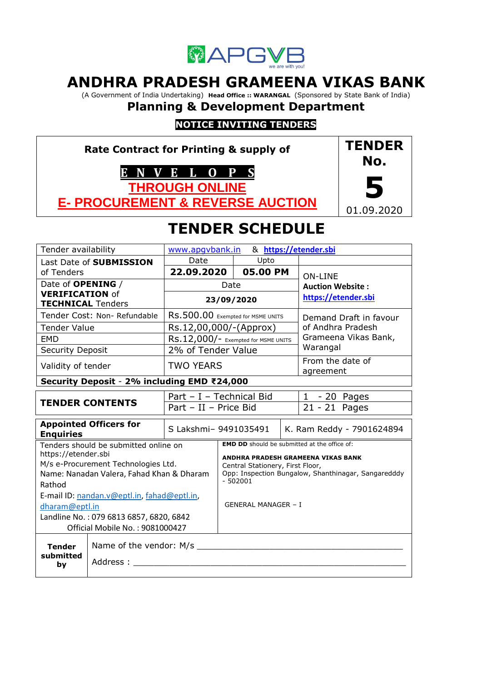

# **ANDHRA PRADESH GRAMEENA VIKAS BANK**

(A Government of India Undertaking) **Head Office :: WARANGAL** (Sponsored by State Bank of India)

# **Planning & Development Department**

# **NOTICE INVITING TENDERS**

**Rate Contract for Printing & supply of E N V E L O P S THROUGH ONLINE E- PROCUREMENT & REVERSE AUCTION TENDER No. 5** 01.09.2020

# **TENDER SCHEDULE**

| Tender availability                                                                                                                                        |                                             | & https://etender.sbi<br>www.apqvbank.in |                                                                                                                                                                                                   |                            |                 |                               |  |
|------------------------------------------------------------------------------------------------------------------------------------------------------------|---------------------------------------------|------------------------------------------|---------------------------------------------------------------------------------------------------------------------------------------------------------------------------------------------------|----------------------------|-----------------|-------------------------------|--|
| Last Date of SUBMISSION                                                                                                                                    |                                             | Date                                     | Upto                                                                                                                                                                                              |                            |                 |                               |  |
| of Tenders                                                                                                                                                 |                                             | 22.09.2020                               |                                                                                                                                                                                                   | 05.00 PM                   |                 | <b>ON-LINE</b>                |  |
| Date of OPENING /                                                                                                                                          |                                             |                                          | Date                                                                                                                                                                                              |                            |                 | <b>Auction Website:</b>       |  |
| <b>VERIFICATION of</b><br><b>TECHNICAL Tenders</b>                                                                                                         |                                             | 23/09/2020                               |                                                                                                                                                                                                   | https://etender.sbi        |                 |                               |  |
|                                                                                                                                                            | Tender Cost: Non-Refundable                 | RS.500.00 Exempted for MSME UNITS        |                                                                                                                                                                                                   | Demand Draft in favour     |                 |                               |  |
| <b>Tender Value</b>                                                                                                                                        |                                             | Rs.12,00,000/-(Approx)                   |                                                                                                                                                                                                   |                            |                 | of Andhra Pradesh             |  |
| <b>EMD</b>                                                                                                                                                 |                                             | RS.12,000/- Exempted for MSME UNITS      |                                                                                                                                                                                                   |                            |                 | Grameena Vikas Bank,          |  |
| <b>Security Deposit</b>                                                                                                                                    |                                             | 2% of Tender Value                       |                                                                                                                                                                                                   |                            |                 | Warangal                      |  |
| Validity of tender                                                                                                                                         |                                             | <b>TWO YEARS</b>                         |                                                                                                                                                                                                   |                            |                 | From the date of<br>agreement |  |
|                                                                                                                                                            | Security Deposit - 2% including EMD ₹24,000 |                                          |                                                                                                                                                                                                   |                            |                 |                               |  |
|                                                                                                                                                            |                                             | Part - I - Technical Bid                 |                                                                                                                                                                                                   | $1 - 20$ Pages             |                 |                               |  |
|                                                                                                                                                            | <b>TENDER CONTENTS</b>                      | Part - II - Price Bid                    |                                                                                                                                                                                                   |                            | $21 - 21$ Pages |                               |  |
| <b>Appointed Officers for</b><br><b>Enquiries</b>                                                                                                          |                                             | S Lakshmi- 9491035491                    |                                                                                                                                                                                                   | K. Ram Reddy - 7901624894  |                 |                               |  |
| Tenders should be submitted online on<br>https://etender.sbi<br>M/s e-Procurement Technologies Ltd.<br>Name: Nanadan Valera, Fahad Khan & Dharam<br>Rathod |                                             |                                          | <b>EMD DD</b> should be submitted at the office of:<br>ANDHRA PRADESH GRAMEENA VIKAS BANK<br>Central Stationery, First Floor,<br>Opp: Inspection Bungalow, Shanthinagar, Sangaredddy<br>$-502001$ |                            |                 |                               |  |
| E-mail ID: nandan.v@eptl.in, fahad@eptl.in,<br>dharam@eptl.in<br>Landline No.: 079 6813 6857, 6820, 6842<br>Official Mobile No.: 9081000427                |                                             |                                          |                                                                                                                                                                                                   | <b>GENERAL MANAGER - I</b> |                 |                               |  |
| Name of the vendor: M/s<br><b>Tender</b><br>submitted<br>Address :<br>by                                                                                   |                                             |                                          |                                                                                                                                                                                                   |                            |                 |                               |  |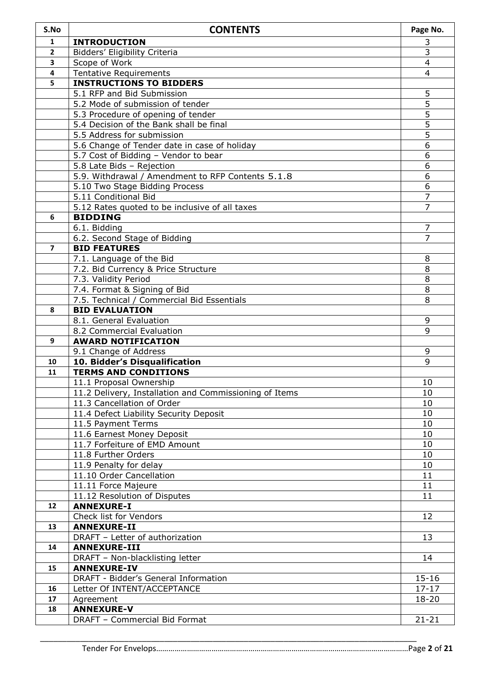| S.No           | <b>CONTENTS</b>                                                                   | Page No.               |
|----------------|-----------------------------------------------------------------------------------|------------------------|
| $\mathbf{1}$   | <b>INTRODUCTION</b>                                                               | 3                      |
| $\mathbf{2}$   | Bidders' Eligibility Criteria                                                     | $\overline{3}$         |
| 3              | Scope of Work                                                                     | $\overline{4}$         |
| 4              | <b>Tentative Requirements</b>                                                     | $\overline{4}$         |
| 5              | <b>INSTRUCTIONS TO BIDDERS</b>                                                    |                        |
|                | 5.1 RFP and Bid Submission                                                        | 5                      |
|                | 5.2 Mode of submission of tender                                                  | $\overline{5}$         |
|                | 5.3 Procedure of opening of tender                                                | $\overline{5}$         |
|                | 5.4 Decision of the Bank shall be final                                           | $\overline{5}$         |
|                | 5.5 Address for submission                                                        | 5                      |
|                | 5.6 Change of Tender date in case of holiday                                      | 6                      |
|                | 5.7 Cost of Bidding - Vendor to bear                                              | 6<br>6                 |
|                | 5.8 Late Bids - Rejection<br>5.9. Withdrawal / Amendment to RFP Contents 5.1.8    | 6                      |
|                | 5.10 Two Stage Bidding Process                                                    | 6                      |
|                | 5.11 Conditional Bid                                                              | $\overline{7}$         |
|                | 5.12 Rates quoted to be inclusive of all taxes                                    | 7                      |
| 6              | <b>BIDDING</b>                                                                    |                        |
|                | 6.1. Bidding                                                                      | 7                      |
|                | 6.2. Second Stage of Bidding                                                      | 7                      |
| $\overline{ }$ | <b>BID FEATURES</b>                                                               |                        |
|                | 7.1. Language of the Bid                                                          | 8                      |
|                | 7.2. Bid Currency & Price Structure                                               | 8                      |
|                | 7.3. Validity Period                                                              | 8                      |
|                | 7.4. Format & Signing of Bid                                                      | 8                      |
|                | 7.5. Technical / Commercial Bid Essentials                                        | 8                      |
| 8              | <b>BID EVALUATION</b>                                                             |                        |
|                | 8.1. General Evaluation                                                           | 9                      |
|                | 8.2 Commercial Evaluation                                                         | 9                      |
| 9              | <b>AWARD NOTIFICATION</b>                                                         |                        |
|                | 9.1 Change of Address                                                             | 9                      |
| 10             | 10. Bidder's Disqualification                                                     | 9                      |
| 11             | <b>TERMS AND CONDITIONS</b>                                                       | 10                     |
|                | 11.1 Proposal Ownership<br>11.2 Delivery, Installation and Commissioning of Items | 10                     |
|                | 11.3 Cancellation of Order                                                        | 10                     |
|                | 11.4 Defect Liability Security Deposit                                            | 10                     |
|                | 11.5 Payment Terms                                                                | 10                     |
|                | 11.6 Earnest Money Deposit                                                        | 10                     |
|                | 11.7 Forfeiture of EMD Amount                                                     | 10                     |
|                | 11.8 Further Orders                                                               | 10                     |
|                | 11.9 Penalty for delay                                                            | 10                     |
|                | 11.10 Order Cancellation                                                          | 11                     |
|                | 11.11 Force Majeure                                                               | 11                     |
|                | 11.12 Resolution of Disputes                                                      | 11                     |
| 12             | <b>ANNEXURE-I</b>                                                                 |                        |
|                | Check list for Vendors                                                            | 12                     |
| 13             | <b>ANNEXURE-II</b>                                                                |                        |
|                | DRAFT - Letter of authorization                                                   | 13                     |
| 14             | <b>ANNEXURE-III</b>                                                               |                        |
|                | DRAFT - Non-blacklisting letter                                                   | 14                     |
| 15             | <b>ANNEXURE-IV</b>                                                                |                        |
| 16             | DRAFT - Bidder's General Information                                              | $15 - 16$<br>$17 - 17$ |
| 17             | Letter Of INTENT/ACCEPTANCE<br>Agreement                                          | $18 - 20$              |
| 18             | <b>ANNEXURE-V</b>                                                                 |                        |
|                | DRAFT - Commercial Bid Format                                                     | $21 - 21$              |
|                |                                                                                   |                        |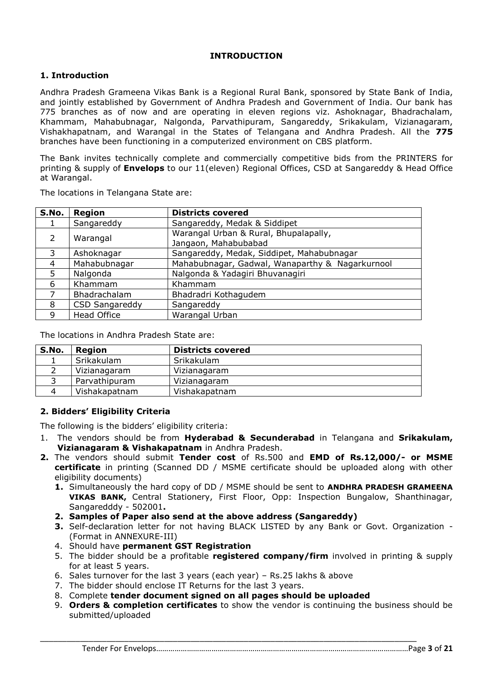#### **INTRODUCTION**

#### **1. Introduction**

Andhra Pradesh Grameena Vikas Bank is a Regional Rural Bank, sponsored by State Bank of India, and jointly established by Government of Andhra Pradesh and Government of India. Our bank has 775 branches as of now and are operating in eleven regions viz. Ashoknagar, Bhadrachalam, Khammam, Mahabubnagar, Nalgonda, Parvathipuram, Sangareddy, Srikakulam, Vizianagaram, Vishakhapatnam, and Warangal in the States of Telangana and Andhra Pradesh. All the **775** branches have been functioning in a computerized environment on CBS platform.

The Bank invites technically complete and commercially competitive bids from the PRINTERS for printing & supply of **Envelops** to our 11(eleven) Regional Offices, CSD at Sangareddy & Head Office at Warangal.

| S.No. | <b>Region</b>         | <b>Districts covered</b>                                      |
|-------|-----------------------|---------------------------------------------------------------|
|       | Sangareddy            | Sangareddy, Medak & Siddipet                                  |
| 2     | Warangal              | Warangal Urban & Rural, Bhupalapally,<br>Jangaon, Mahabubabad |
| 3     | Ashoknagar            | Sangareddy, Medak, Siddipet, Mahabubnagar                     |
| 4     | Mahabubnagar          | Mahabubnagar, Gadwal, Wanaparthy & Nagarkurnool               |
| 5.    | Nalgonda              | Nalgonda & Yadagiri Bhuvanagiri                               |
| 6     | Khammam               | Khammam                                                       |
|       | Bhadrachalam          | Bhadradri Kothagudem                                          |
| 8     | <b>CSD Sangareddy</b> | Sangareddy                                                    |
| 9     | <b>Head Office</b>    | Warangal Urban                                                |

The locations in Telangana State are:

The locations in Andhra Pradesh State are:

| <b>Region</b> | <b>Districts covered</b> |
|---------------|--------------------------|
| Srikakulam    | Srikakulam               |
| Vizianagaram  | Vizianagaram             |
| Parvathipuram | Vizianagaram             |
| Vishakapatnam | Vishakapatnam            |
|               |                          |

#### **2. Bidders' Eligibility Criteria**

The following is the bidders' eligibility criteria:

- 1. The vendors should be from **Hyderabad & Secunderabad** in Telangana and **Srikakulam, Vizianagaram & Vishakapatnam** in Andhra Pradesh.
- **2.** The vendors should submit **Tender cost** of Rs.500 and **EMD of Rs.12,000/- or MSME certificate** in printing (Scanned DD / MSME certificate should be uploaded along with other eligibility documents)
	- **1.** Simultaneously the hard copy of DD / MSME should be sent to **ANDHRA PRADESH GRAMEENA VIKAS BANK,** Central Stationery, First Floor, Opp: Inspection Bungalow, Shanthinagar, Sangaredddy - 502001**.**
	- **2. Samples of Paper also send at the above address (Sangareddy)**
	- **3.** Self-declaration letter for not having BLACK LISTED by any Bank or Govt. Organization (Format in ANNEXURE-III)
	- 4. Should have **permanent GST Registration**
	- 5. The bidder should be a profitable **registered company/firm** involved in printing & supply for at least 5 years.
	- 6. Sales turnover for the last 3 years (each year) Rs.25 lakhs & above
	- 7. The bidder should enclose IT Returns for the last 3 years.
	- 8. Complete **tender document signed on all pages should be uploaded**
	- 9. **Orders & completion certificates** to show the vendor is continuing the business should be submitted/uploaded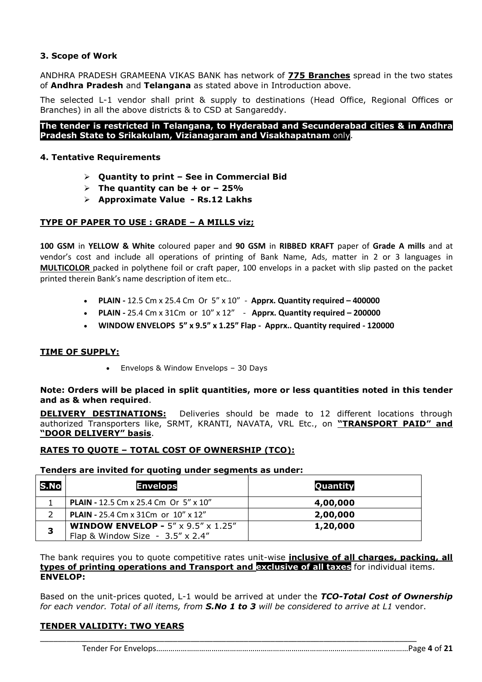## **3. Scope of Work**

ANDHRA PRADESH GRAMEENA VIKAS BANK has network of **775 Branches** spread in the two states of **Andhra Pradesh** and **Telangana** as stated above in Introduction above.

The selected L-1 vendor shall print & supply to destinations (Head Office, Regional Offices or Branches) in all the above districts & to CSD at Sangareddy.

**The tender is restricted in Telangana, to Hyderabad and Secunderabad cities & in Andhra Pradesh State to Srikakulam, Vizianagaram and Visakhapatnam** only.

#### **4. Tentative Requirements**

- **Quantity to print – See in Commercial Bid**
- $\triangleright$  The quantity can be + or  $-25\%$
- **Approximate Value - Rs.12 Lakhs**

## **TYPE OF PAPER TO USE : GRADE – A MILLS viz;**

**100 GSM** in **YELLOW & White** coloured paper and **90 GSM** in **RIBBED KRAFT** paper of **Grade A mills** and at vendor's cost and include all operations of printing of Bank Name, Ads, matter in 2 or 3 languages in **MULTICOLOR** packed in polythene foil or craft paper, 100 envelops in a packet with slip pasted on the packet printed therein Bank's name description of item etc..

- **PLAIN -** 12.5 Cm x 25.4 Cm Or 5" x 10" **Apprx. Quantity required – 400000**
- **PLAIN -** 25.4 Cm x 31Cm or 10" x 12" **Apprx. Quantity required – 200000**
- **WINDOW ENVELOPS 5" x 9.5" x 1.25" Flap Apprx.. Quantity required - 120000**

#### **TIME OF SUPPLY:**

• Envelops & Window Envelops - 30 Days

**Note: Orders will be placed in split quantities, more or less quantities noted in this tender and as & when required**.

**DELIVERY DESTINATIONS:** Deliveries should be made to 12 different locations through authorized Transporters like, SRMT, KRANTI, NAVATA, VRL Etc., on **"TRANSPORT PAID" and "DOOR DELIVERY" basis**.

#### **RATES TO QUOTE – TOTAL COST OF OWNERSHIP (TCO):**

#### **Tenders are invited for quoting under segments as under:**

| S.No | <b>Envelops</b>                                                                                      | Quantity |
|------|------------------------------------------------------------------------------------------------------|----------|
|      | <b>PLAIN - 12.5 Cm x 25.4 Cm Or 5" x 10"</b>                                                         | 4,00,000 |
|      | <b>PLAIN - 25.4 Cm x 31Cm or 10" x 12"</b>                                                           | 2,00,000 |
| 3    | <b>WINDOW ENVELOP - 5"</b> $\times$ 9.5" $\times$ 1.25"<br>Flap & Window Size - $3.5'' \times 2.4''$ | 1,20,000 |

The bank requires you to quote competitive rates unit-wise **inclusive of all charges, packing, all types of printing operations and Transport and exclusive of all taxes** for individual items. **ENVELOP:**

Based on the unit-prices quoted, L-1 would be arrived at under the *TCO-Total Cost of Ownership for each vendor. Total of all items, from S.No 1 to 3 will be considered to arrive at L1* vendor.

\_\_\_\_\_\_\_\_\_\_\_\_\_\_\_\_\_\_\_\_\_\_\_\_\_\_\_\_\_\_\_\_\_\_\_\_\_\_\_\_\_\_\_\_\_\_\_\_\_\_\_\_\_\_\_\_\_\_\_\_\_\_\_\_\_\_\_\_\_\_\_\_\_\_\_\_\_\_\_\_\_\_\_\_\_

#### **TENDER VALIDITY: TWO YEARS**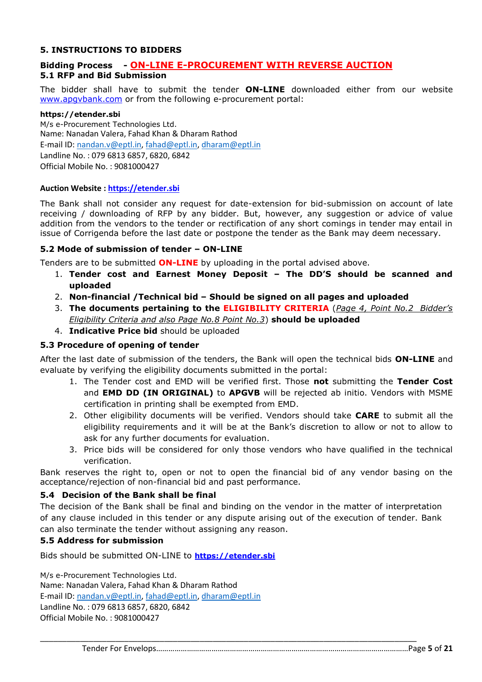#### **5. INSTRUCTIONS TO BIDDERS**

#### **Bidding Process - ON-LINE E-PROCUREMENT WITH REVERSE AUCTION 5.1 RFP and Bid Submission**

The bidder shall have to submit the tender **ON-LINE** downloaded either from our website www.apqvbank.com or from the following e-procurement portal:

#### **https://etender.sbi**

M/s e-Procurement Technologies Ltd. Name: Nanadan Valera, Fahad Khan & Dharam Rathod E-mail ID: [nandan.v@eptl.in,](mailto:nandan.v@eptl.in) [fahad@eptl.in,](mailto:fahad@eptl.in) [dharam@eptl.in](mailto:dharam@eptl.in) Landline No. : 079 6813 6857, 6820, 6842 Official Mobile No. : 9081000427

#### **Auction Website [: https://etender.sbi](https://etender.sbi/)**

The Bank shall not consider any request for date-extension for bid-submission on account of late receiving / downloading of RFP by any bidder. But, however, any suggestion or advice of value addition from the vendors to the tender or rectification of any short comings in tender may entail in issue of Corrigenda before the last date or postpone the tender as the Bank may deem necessary.

#### **5.2 Mode of submission of tender – ON-LINE**

Tenders are to be submitted **ON-LINE** by uploading in the portal advised above.

- 1. **Tender cost and Earnest Money Deposit – The DD'S should be scanned and uploaded**
- 2. **Non-financial /Technical bid – Should be signed on all pages and uploaded**
- 3. **The documents pertaining to the ELIGIBILITY CRITERIA** (*Page 4, Point No.2 Bidder's Eligibility Criteria and also Page No.8 Point No.3*) **should be uploaded**
- 4. **Indicative Price bid** should be uploaded

#### **5.3 Procedure of opening of tender**

After the last date of submission of the tenders, the Bank will open the technical bids **ON-LINE** and evaluate by verifying the eligibility documents submitted in the portal:

- 1. The Tender cost and EMD will be verified first. Those **not** submitting the **Tender Cost** and **EMD DD (IN ORIGINAL)** to **APGVB** will be rejected ab initio. Vendors with MSME certification in printing shall be exempted from EMD.
- 2. Other eligibility documents will be verified. Vendors should take **CARE** to submit all the eligibility requirements and it will be at the Bank's discretion to allow or not to allow to ask for any further documents for evaluation.
- 3. Price bids will be considered for only those vendors who have qualified in the technical verification.

Bank reserves the right to, open or not to open the financial bid of any vendor basing on the acceptance/rejection of non-financial bid and past performance.

#### **5.4 Decision of the Bank shall be final**

The decision of the Bank shall be final and binding on the vendor in the matter of interpretation of any clause included in this tender or any dispute arising out of the execution of tender. Bank can also terminate the tender without assigning any reason.

\_\_\_\_\_\_\_\_\_\_\_\_\_\_\_\_\_\_\_\_\_\_\_\_\_\_\_\_\_\_\_\_\_\_\_\_\_\_\_\_\_\_\_\_\_\_\_\_\_\_\_\_\_\_\_\_\_\_\_\_\_\_\_\_\_\_\_\_\_\_\_\_\_\_\_\_\_\_\_\_\_\_\_\_\_

#### **5.5 Address for submission**

Bids should be submitted ON-LINE to **[https://etender.sbi](https://etender.sbi/)**

M/s e-Procurement Technologies Ltd. Name: Nanadan Valera, Fahad Khan & Dharam Rathod E-mail ID: [nandan.v@eptl.in,](mailto:nandan.v@eptl.in) [fahad@eptl.in,](mailto:fahad@eptl.in) [dharam@eptl.in](mailto:dharam@eptl.in) Landline No. : 079 6813 6857, 6820, 6842 Official Mobile No. : 9081000427

Tender For Envelops……………………………………………………………………………………………………………Page **5** of **21**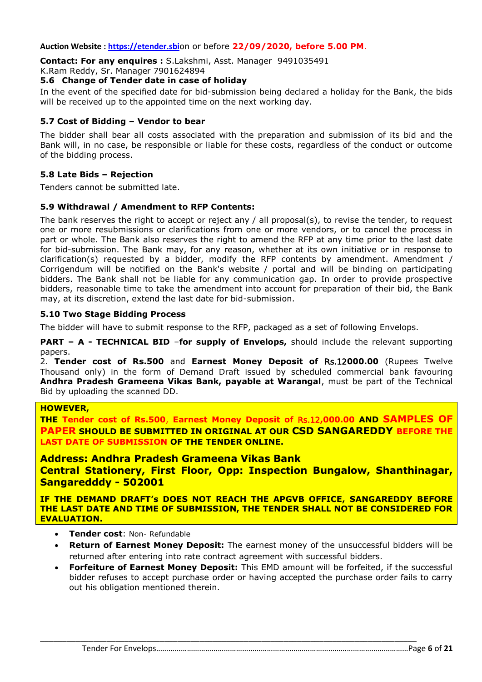#### **Auction Website [: https://etender.sbi](https://etender.sbi/)**on or before **22/09/2020, before 5.00 PM**.

**Contact: For any enquires :** S.Lakshmi, Asst. Manager 9491035491

K.Ram Reddy, Sr. Manager 7901624894

#### **5.6 Change of Tender date in case of holiday**

In the event of the specified date for bid-submission being declared a holiday for the Bank, the bids will be received up to the appointed time on the next working day.

#### **5.7 Cost of Bidding – Vendor to bear**

The bidder shall bear all costs associated with the preparation and submission of its bid and the Bank will, in no case, be responsible or liable for these costs, regardless of the conduct or outcome of the bidding process.

#### **5.8 Late Bids – Rejection**

Tenders cannot be submitted late.

#### **5.9 Withdrawal / Amendment to RFP Contents:**

The bank reserves the right to accept or reject any / all proposal(s), to revise the tender, to request one or more resubmissions or clarifications from one or more vendors, or to cancel the process in part or whole. The Bank also reserves the right to amend the RFP at any time prior to the last date for bid-submission. The Bank may, for any reason, whether at its own initiative or in response to clarification(s) requested by a bidder, modify the RFP contents by amendment. Amendment / Corrigendum will be notified on the Bank's website / portal and will be binding on participating bidders. The Bank shall not be liable for any communication gap. In order to provide prospective bidders, reasonable time to take the amendment into account for preparation of their bid, the Bank may, at its discretion, extend the last date for bid-submission.

#### **5.10 Two Stage Bidding Process**

The bidder will have to submit response to the RFP, packaged as a set of following Envelops.

**PART – A - TECHNICAL BID** –**for supply of Envelops,** should include the relevant supporting papers.

2. **Tender cost of Rs.500** and **Earnest Money Deposit of** Rs.12**000.00** (Rupees Twelve Thousand only) in the form of Demand Draft issued by scheduled commercial bank favouring **Andhra Pradesh Grameena Vikas Bank, payable at Warangal**, must be part of the Technical Bid by uploading the scanned DD.

#### **HOWEVER,**

**THE Tender cost of Rs.500**, **Earnest Money Deposit of** Rs.12**,000.00 AND SAMPLES OF PAPER SHOULD BE SUBMITTED IN ORIGINAL AT OUR CSD SANGAREDDY BEFORE THE LAST DATE OF SUBMISSION OF THE TENDER ONLINE.**

## **Address: Andhra Pradesh Grameena Vikas Bank**

**Central Stationery, First Floor, Opp: Inspection Bungalow, Shanthinagar, Sangaredddy - 502001**

**IF THE DEMAND DRAFT's DOES NOT REACH THE APGVB OFFICE, SANGAREDDY BEFORE THE LAST DATE AND TIME OF SUBMISSION, THE TENDER SHALL NOT BE CONSIDERED FOR EVALUATION.**

- **Tender cost**: Non- Refundable
- **Return of Earnest Money Deposit:** The earnest money of the unsuccessful bidders will be returned after entering into rate contract agreement with successful bidders.
- **Forfeiture of Earnest Money Deposit:** This EMD amount will be forfeited, if the successful bidder refuses to accept purchase order or having accepted the purchase order fails to carry out his obligation mentioned therein.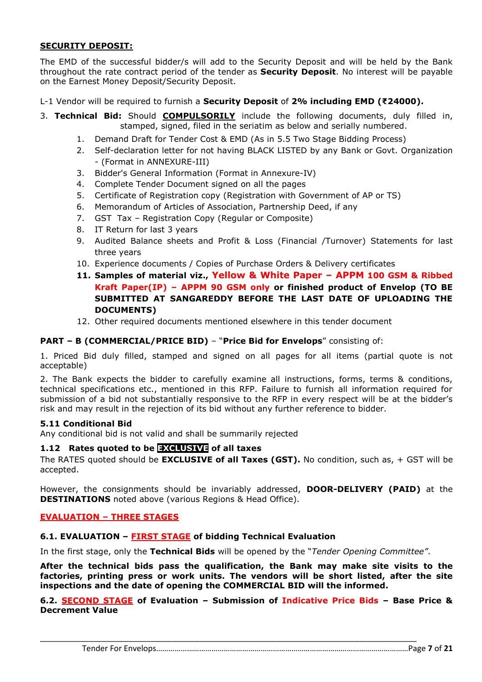#### **SECURITY DEPOSIT:**

The EMD of the successful bidder/s will add to the Security Deposit and will be held by the Bank throughout the rate contract period of the tender as **Security Deposit**. No interest will be payable on the Earnest Money Deposit/Security Deposit.

L-1 Vendor will be required to furnish a **Security Deposit** of **2% including EMD (₹24000).**

- 3. **Technical Bid:** Should **COMPULSORILY** include the following documents, duly filled in, stamped, signed, filed in the seriatim as below and serially numbered.
	- 1. Demand Draft for Tender Cost & EMD (As in 5.5 Two Stage Bidding Process)
	- 2. Self-declaration letter for not having BLACK LISTED by any Bank or Govt. Organization - (Format in ANNEXURE-III)
	- 3. Bidder's General Information (Format in Annexure-IV)
	- 4. Complete Tender Document signed on all the pages
	- 5. Certificate of Registration copy (Registration with Government of AP or TS)
	- 6. Memorandum of Articles of Association, Partnership Deed, if any
	- 7. GST Tax Registration Copy (Regular or Composite)
	- 8. IT Return for last 3 years
	- 9. Audited Balance sheets and Profit & Loss (Financial /Turnover) Statements for last three years
	- 10. Experience documents / Copies of Purchase Orders & Delivery certificates
	- **11. Samples of material viz., Yellow & White Paper – APPM 100 GSM & Ribbed Kraft Paper(IP) – APPM 90 GSM only or finished product of Envelop (TO BE SUBMITTED AT SANGAREDDY BEFORE THE LAST DATE OF UPLOADING THE DOCUMENTS)**
	- 12. Other required documents mentioned elsewhere in this tender document

#### **PART – B (COMMERCIAL/PRICE BID)** – "**Price Bid for Envelops**" consisting of:

1. Priced Bid duly filled, stamped and signed on all pages for all items (partial quote is not acceptable)

2. The Bank expects the bidder to carefully examine all instructions, forms, terms & conditions, technical specifications etc., mentioned in this RFP. Failure to furnish all information required for submission of a bid not substantially responsive to the RFP in every respect will be at the bidder's risk and may result in the rejection of its bid without any further reference to bidder.

#### **5.11 Conditional Bid**

Any conditional bid is not valid and shall be summarily rejected

#### **1.12 Rates quoted to be EXCLUSIVE of all taxes**

The RATES quoted should be **EXCLUSIVE of all Taxes (GST).** No condition, such as, + GST will be accepted.

However, the consignments should be invariably addressed, **DOOR-DELIVERY (PAID)** at the **DESTINATIONS** noted above (various Regions & Head Office).

#### **EVALUATION – THREE STAGES**

#### **6.1. EVALUATION – FIRST STAGE of bidding Technical Evaluation**

In the first stage, only the **Technical Bids** will be opened by the "*Tender Opening Committee"*.

\_\_\_\_\_\_\_\_\_\_\_\_\_\_\_\_\_\_\_\_\_\_\_\_\_\_\_\_\_\_\_\_\_\_\_\_\_\_\_\_\_\_\_\_\_\_\_\_\_\_\_\_\_\_\_\_\_\_\_\_\_\_\_\_\_\_\_\_\_\_\_\_\_\_\_\_\_\_\_\_\_\_\_\_\_

**After the technical bids pass the qualification, the Bank may make site visits to the factories, printing press or work units. The vendors will be short listed, after the site inspections and the date of opening the COMMERCIAL BID will the informed.**

**6.2. SECOND STAGE of Evaluation – Submission of Indicative Price Bids – Base Price & Decrement Value**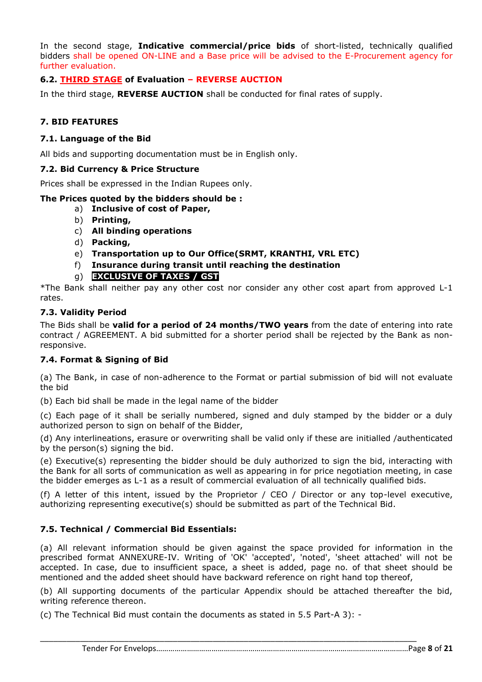In the second stage, **Indicative commercial/price bids** of short-listed, technically qualified bidders shall be opened ON-LINE and a Base price will be advised to the E-Procurement agency for further evaluation.

## **6.2. THIRD STAGE of Evaluation – REVERSE AUCTION**

In the third stage, **REVERSE AUCTION** shall be conducted for final rates of supply.

# **7. BID FEATURES**

#### **7.1. Language of the Bid**

All bids and supporting documentation must be in English only.

#### **7.2. Bid Currency & Price Structure**

Prices shall be expressed in the Indian Rupees only.

#### **The Prices quoted by the bidders should be :**

- a) **Inclusive of cost of Paper,**
- b) **Printing,**
- c) **All binding operations**
- d) **Packing,**
- e) **Transportation up to Our Office(SRMT, KRANTHI, VRL ETC)**
- f) **Insurance during transit until reaching the destination**
- g) **EXCLUSIVE OF TAXES / GST**

\*The Bank shall neither pay any other cost nor consider any other cost apart from approved L-1 rates.

#### **7.3. Validity Period**

The Bids shall be **valid for a period of 24 months/TWO years** from the date of entering into rate contract / AGREEMENT. A bid submitted for a shorter period shall be rejected by the Bank as nonresponsive.

#### **7.4. Format & Signing of Bid**

(a) The Bank, in case of non-adherence to the Format or partial submission of bid will not evaluate the bid

(b) Each bid shall be made in the legal name of the bidder

(c) Each page of it shall be serially numbered, signed and duly stamped by the bidder or a duly authorized person to sign on behalf of the Bidder,

(d) Any interlineations, erasure or overwriting shall be valid only if these are initialled /authenticated by the person(s) signing the bid.

(e) Executive(s) representing the bidder should be duly authorized to sign the bid, interacting with the Bank for all sorts of communication as well as appearing in for price negotiation meeting, in case the bidder emerges as L-1 as a result of commercial evaluation of all technically qualified bids.

(f) A letter of this intent, issued by the Proprietor / CEO / Director or any top-level executive, authorizing representing executive(s) should be submitted as part of the Technical Bid.

#### **7.5. Technical / Commercial Bid Essentials:**

(a) All relevant information should be given against the space provided for information in the prescribed format ANNEXURE-IV. Writing of 'OK' 'accepted', 'noted', 'sheet attached' will not be accepted. In case, due to insufficient space, a sheet is added, page no. of that sheet should be mentioned and the added sheet should have backward reference on right hand top thereof,

(b) All supporting documents of the particular Appendix should be attached thereafter the bid, writing reference thereon.

\_\_\_\_\_\_\_\_\_\_\_\_\_\_\_\_\_\_\_\_\_\_\_\_\_\_\_\_\_\_\_\_\_\_\_\_\_\_\_\_\_\_\_\_\_\_\_\_\_\_\_\_\_\_\_\_\_\_\_\_\_\_\_\_\_\_\_\_\_\_\_\_\_\_\_\_\_\_\_\_\_\_\_\_\_

(c) The Technical Bid must contain the documents as stated in 5.5 Part-A 3): -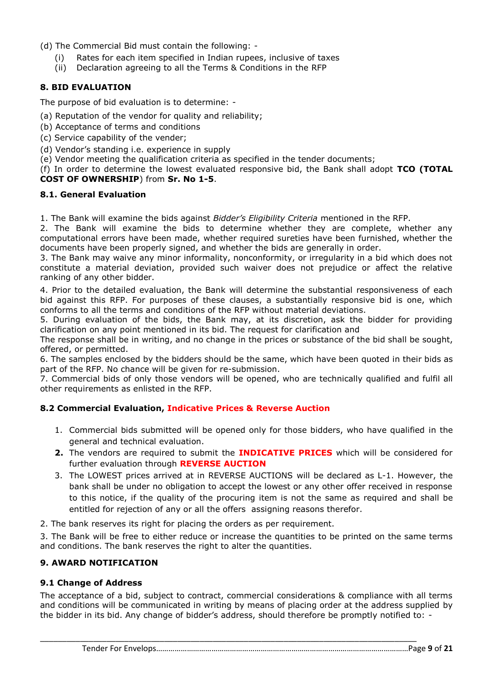- (d) The Commercial Bid must contain the following:
	- (i) Rates for each item specified in Indian rupees, inclusive of taxes
	- (ii) Declaration agreeing to all the Terms & Conditions in the RFP

## **8. BID EVALUATION**

The purpose of bid evaluation is to determine: -

- (a) Reputation of the vendor for quality and reliability;
- (b) Acceptance of terms and conditions
- (c) Service capability of the vender;
- (d) Vendor's standing i.e. experience in supply
- (e) Vendor meeting the qualification criteria as specified in the tender documents;

#### (f) In order to determine the lowest evaluated responsive bid, the Bank shall adopt **TCO (TOTAL COST OF OWNERSHIP**) from **Sr. No 1-5**.

#### **8.1. General Evaluation**

1. The Bank will examine the bids against *Bidder's Eligibility Criteria* mentioned in the RFP.

2. The Bank will examine the bids to determine whether they are complete, whether any computational errors have been made, whether required sureties have been furnished, whether the documents have been properly signed, and whether the bids are generally in order.

3. The Bank may waive any minor informality, nonconformity, or irregularity in a bid which does not constitute a material deviation, provided such waiver does not prejudice or affect the relative ranking of any other bidder.

4. Prior to the detailed evaluation, the Bank will determine the substantial responsiveness of each bid against this RFP. For purposes of these clauses, a substantially responsive bid is one, which conforms to all the terms and conditions of the RFP without material deviations.

5. During evaluation of the bids, the Bank may, at its discretion, ask the bidder for providing clarification on any point mentioned in its bid. The request for clarification and

The response shall be in writing, and no change in the prices or substance of the bid shall be sought, offered, or permitted.

6. The samples enclosed by the bidders should be the same, which have been quoted in their bids as part of the RFP. No chance will be given for re-submission.

7. Commercial bids of only those vendors will be opened, who are technically qualified and fulfil all other requirements as enlisted in the RFP.

#### **8.2 Commercial Evaluation, Indicative Prices & Reverse Auction**

- 1. Commercial bids submitted will be opened only for those bidders, who have qualified in the general and technical evaluation.
- **2.** The vendors are required to submit the **INDICATIVE PRICES** which will be considered for further evaluation through **REVERSE AUCTION**
- 3. The LOWEST prices arrived at in REVERSE AUCTIONS will be declared as L-1. However, the bank shall be under no obligation to accept the lowest or any other offer received in response to this notice, if the quality of the procuring item is not the same as required and shall be entitled for rejection of any or all the offers assigning reasons therefor.
- 2. The bank reserves its right for placing the orders as per requirement.

3. The Bank will be free to either reduce or increase the quantities to be printed on the same terms and conditions. The bank reserves the right to alter the quantities.

# **9. AWARD NOTIFICATION**

#### **9.1 Change of Address**

The acceptance of a bid, subject to contract, commercial considerations & compliance with all terms and conditions will be communicated in writing by means of placing order at the address supplied by the bidder in its bid. Any change of bidder's address, should therefore be promptly notified to: -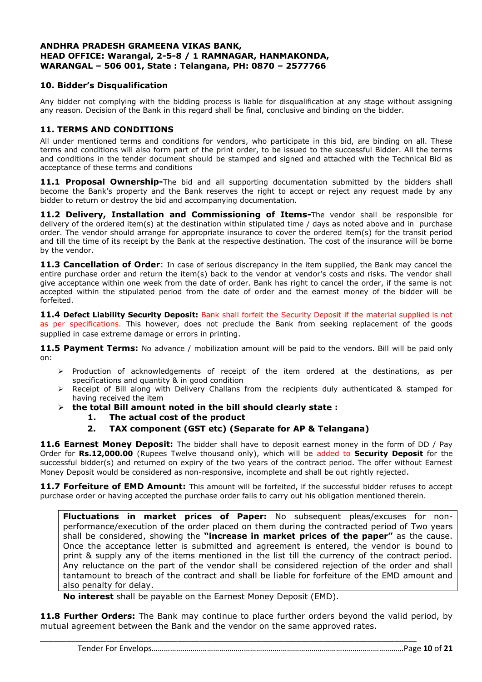#### **ANDHRA PRADESH GRAMEENA VIKAS BANK, HEAD OFFICE: Warangal, 2-5-8 / 1 RAMNAGAR, HANMAKONDA, WARANGAL – 506 001, State : Telangana, PH: 0870 – 2577766**

#### **10. Bidder's Disqualification**

Any bidder not complying with the bidding process is liable for disqualification at any stage without assigning any reason. Decision of the Bank in this regard shall be final, conclusive and binding on the bidder.

#### **11. TERMS AND CONDITIONS**

All under mentioned terms and conditions for vendors, who participate in this bid, are binding on all. These terms and conditions will also form part of the print order, to be issued to the successful Bidder. All the terms and conditions in the tender document should be stamped and signed and attached with the Technical Bid as acceptance of these terms and conditions

**11.1 Proposal Ownership-**The bid and all supporting documentation submitted by the bidders shall become the Bank's property and the Bank reserves the right to accept or reject any request made by any bidder to return or destroy the bid and accompanying documentation.

**11.2 Delivery, Installation and Commissioning of Items-**The vendor shall be responsible for delivery of the ordered item(s) at the destination within stipulated time / days as noted above and in purchase order. The vendor should arrange for appropriate insurance to cover the ordered item(s) for the transit period and till the time of its receipt by the Bank at the respective destination. The cost of the insurance will be borne by the vendor.

**11.3 Cancellation of Order**: In case of serious discrepancy in the item supplied, the Bank may cancel the entire purchase order and return the item(s) back to the vendor at vendor's costs and risks. The vendor shall give acceptance within one week from the date of order. Bank has right to cancel the order, if the same is not accepted within the stipulated period from the date of order and the earnest money of the bidder will be forfeited.

**11.4 Defect Liability Security Deposit:** Bank shall forfeit the Security Deposit if the material supplied is not as per specifications. This however, does not preclude the Bank from seeking replacement of the goods supplied in case extreme damage or errors in printing.

11.5 Payment Terms: No advance / mobilization amount will be paid to the vendors. Bill will be paid only on:

- > Production of acknowledgements of receipt of the item ordered at the destinations, as per specifications and quantity & in good condition
- Receipt of Bill along with Delivery Challans from the recipients duly authenticated & stamped for having received the item
- **the total Bill amount noted in the bill should clearly state :**
	- **1. The actual cost of the product**
	- **2. TAX component (GST etc) (Separate for AP & Telangana)**

**11.6 Earnest Money Deposit:** The bidder shall have to deposit earnest money in the form of DD / Pay Order for **Rs.12,000.00** (Rupees Twelve thousand only), which will be added to **Security Deposit** for the successful bidder(s) and returned on expiry of the two years of the contract period. The offer without Earnest Money Deposit would be considered as non-responsive, incomplete and shall be out rightly rejected.

**11.7 Forfeiture of EMD Amount:** This amount will be forfeited, if the successful bidder refuses to accept purchase order or having accepted the purchase order fails to carry out his obligation mentioned therein.

**Fluctuations in market prices of Paper:** No subsequent pleas/excuses for nonperformance/execution of the order placed on them during the contracted period of Two years shall be considered, showing the **"increase in market prices of the paper"** as the cause. Once the acceptance letter is submitted and agreement is entered, the vendor is bound to print & supply any of the items mentioned in the list till the currency of the contract period. Any reluctance on the part of the vendor shall be considered rejection of the order and shall tantamount to breach of the contract and shall be liable for forfeiture of the EMD amount and also penalty for delay.

**No interest** shall be payable on the Earnest Money Deposit (EMD).

**11.8 Further Orders:** The Bank may continue to place further orders beyond the valid period, by mutual agreement between the Bank and the vendor on the same approved rates.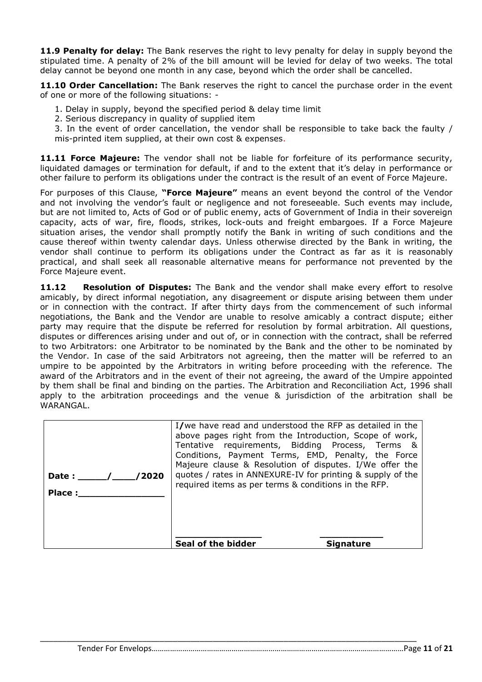**11.9 Penalty for delay:** The Bank reserves the right to levy penalty for delay in supply beyond the stipulated time. A penalty of 2% of the bill amount will be levied for delay of two weeks. The total delay cannot be beyond one month in any case, beyond which the order shall be cancelled.

11.10 Order Cancellation: The Bank reserves the right to cancel the purchase order in the event of one or more of the following situations: -

- 1. Delay in supply, beyond the specified period & delay time limit
- 2. Serious discrepancy in quality of supplied item
- 3. In the event of order cancellation, the vendor shall be responsible to take back the faulty / mis-printed item supplied, at their own cost & expenses.

**11.11 Force Majeure:** The vendor shall not be liable for forfeiture of its performance security, liquidated damages or termination for default, if and to the extent that it's delay in performance or other failure to perform its obligations under the contract is the result of an event of Force Majeure.

For purposes of this Clause, **"Force Majeure"** means an event beyond the control of the Vendor and not involving the vendor's fault or negligence and not foreseeable. Such events may include, but are not limited to, Acts of God or of public enemy, acts of Government of India in their sovereign capacity, acts of war, fire, floods, strikes, lock-outs and freight embargoes. If a Force Majeure situation arises, the vendor shall promptly notify the Bank in writing of such conditions and the cause thereof within twenty calendar days. Unless otherwise directed by the Bank in writing, the vendor shall continue to perform its obligations under the Contract as far as it is reasonably practical, and shall seek all reasonable alternative means for performance not prevented by the Force Majeure event.

11.12 **Resolution of Disputes:** The Bank and the vendor shall make every effort to resolve amicably, by direct informal negotiation, any disagreement or dispute arising between them under or in connection with the contract. If after thirty days from the commencement of such informal negotiations, the Bank and the Vendor are unable to resolve amicably a contract dispute; either party may require that the dispute be referred for resolution by formal arbitration. All questions, disputes or differences arising under and out of, or in connection with the contract, shall be referred to two Arbitrators: one Arbitrator to be nominated by the Bank and the other to be nominated by the Vendor. In case of the said Arbitrators not agreeing, then the matter will be referred to an umpire to be appointed by the Arbitrators in writing before proceeding with the reference. The award of the Arbitrators and in the event of their not agreeing, the award of the Umpire appointed by them shall be final and binding on the parties. The Arbitration and Reconciliation Act, 1996 shall apply to the arbitration proceedings and the venue & jurisdiction of the arbitration shall be WARANGAL.

| /2020<br>Date :<br>Place: | I/we have read and understood the RFP as detailed in the<br>above pages right from the Introduction, Scope of work,<br>Tentative requirements, Bidding Process, Terms &<br>Conditions, Payment Terms, EMD, Penalty, the Force<br>Majeure clause & Resolution of disputes. I/We offer the<br>quotes / rates in ANNEXURE-IV for printing & supply of the<br>required items as per terms & conditions in the RFP. |
|---------------------------|----------------------------------------------------------------------------------------------------------------------------------------------------------------------------------------------------------------------------------------------------------------------------------------------------------------------------------------------------------------------------------------------------------------|
|                           | Seal of the bidder<br>Sianature                                                                                                                                                                                                                                                                                                                                                                                |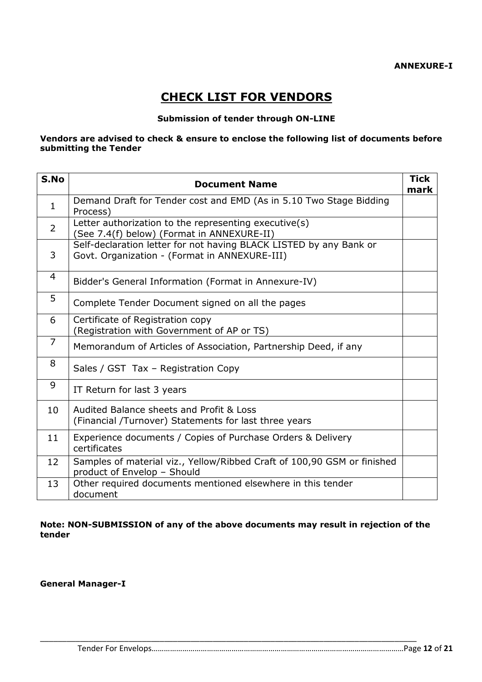# **CHECK LIST FOR VENDORS**

#### **Submission of tender through ON-LINE**

#### **Vendors are advised to check & ensure to enclose the following list of documents before submitting the Tender**

| S.No           | <b>Document Name</b>                                                                                                | <b>Tick</b><br>mark |
|----------------|---------------------------------------------------------------------------------------------------------------------|---------------------|
| $\mathbf{1}$   | Demand Draft for Tender cost and EMD (As in 5.10 Two Stage Bidding<br>Process)                                      |                     |
| $\overline{2}$ | Letter authorization to the representing executive(s)<br>(See 7.4(f) below) (Format in ANNEXURE-II)                 |                     |
| 3              | Self-declaration letter for not having BLACK LISTED by any Bank or<br>Govt. Organization - (Format in ANNEXURE-III) |                     |
| 4              | Bidder's General Information (Format in Annexure-IV)                                                                |                     |
| 5              | Complete Tender Document signed on all the pages                                                                    |                     |
| 6              | Certificate of Registration copy<br>(Registration with Government of AP or TS)                                      |                     |
| $\overline{7}$ | Memorandum of Articles of Association, Partnership Deed, if any                                                     |                     |
| 8              | Sales / GST Tax - Registration Copy                                                                                 |                     |
| 9              | IT Return for last 3 years                                                                                          |                     |
| 10             | Audited Balance sheets and Profit & Loss<br>(Financial /Turnover) Statements for last three years                   |                     |
| 11             | Experience documents / Copies of Purchase Orders & Delivery<br>certificates                                         |                     |
| 12             | Samples of material viz., Yellow/Ribbed Craft of 100,90 GSM or finished<br>product of Envelop - Should              |                     |
| 13             | Other required documents mentioned elsewhere in this tender<br>document                                             |                     |

#### **Note: NON-SUBMISSION of any of the above documents may result in rejection of the tender**

\_\_\_\_\_\_\_\_\_\_\_\_\_\_\_\_\_\_\_\_\_\_\_\_\_\_\_\_\_\_\_\_\_\_\_\_\_\_\_\_\_\_\_\_\_\_\_\_\_\_\_\_\_\_\_\_\_\_\_\_\_\_\_\_\_\_\_\_\_\_\_\_\_\_\_\_\_\_\_\_\_\_\_\_\_

**General Manager-I**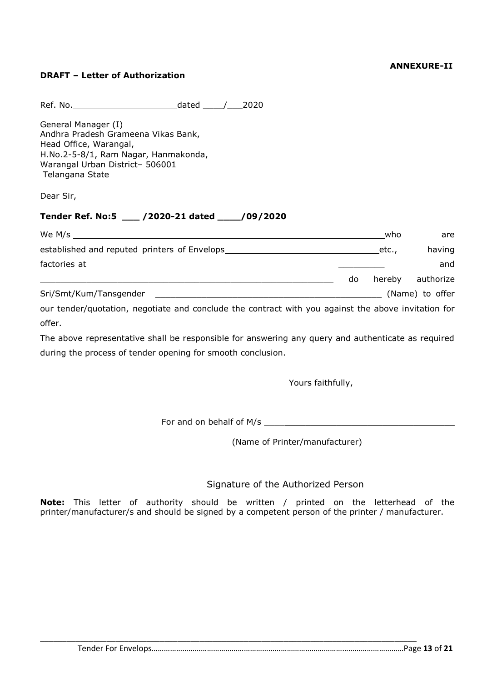#### **ANNEXURE-II**

#### **DRAFT – Letter of Authorization**

Ref. No. dated \_\_\_\_/\_\_\_2020

General Manager (I) Andhra Pradesh Grameena Vikas Bank, Head Office, Warangal, H.No.2-5-8/1, Ram Nagar, Hanmakonda, Warangal Urban District– 506001 Telangana State

Dear Sir,

#### **Tender Ref. No:5 \_\_\_ /2020-21 dated \_\_\_\_/09/2020**

| We M/s $\frac{1}{2}$                                                                                |     | who    | are             |
|-----------------------------------------------------------------------------------------------------|-----|--------|-----------------|
|                                                                                                     |     | etc.,  | having          |
|                                                                                                     |     |        | and             |
|                                                                                                     | do. | hereby | authorize       |
| Sri/Smt/Kum/Tansgender                                                                              |     |        | (Name) to offer |
| our tender/quotation, negotiate and conclude the contract with you against the above invitation for |     |        |                 |

offer. The above representative shall be responsible for answering any query and authenticate as required

during the process of tender opening for smooth conclusion.

Yours faithfully,

For and on behalf of M/s \_\_\_\_\_\_\_\_\_\_\_\_\_\_\_\_\_\_\_\_\_\_\_\_\_\_\_\_\_\_\_\_\_\_\_\_\_

(Name of Printer/manufacturer)

#### Signature of the Authorized Person

**Note:** This letter of authority should be written / printed on the letterhead of the printer/manufacturer/s and should be signed by a competent person of the printer / manufacturer.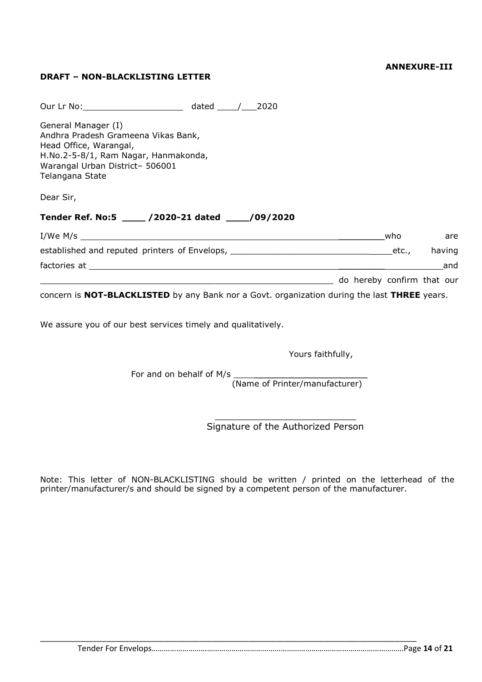#### **ANNEXURE-III**

### **DRAFT – NON-BLACKLISTING LETTER**

| Our Lr No: 2020                                                                                                                                                                    |                            |     |        |
|------------------------------------------------------------------------------------------------------------------------------------------------------------------------------------|----------------------------|-----|--------|
| General Manager (I)<br>Andhra Pradesh Grameena Vikas Bank,<br>Head Office, Warangal,<br>H.No.2-5-8/1, Ram Nagar, Hanmakonda,<br>Warangal Urban District- 506001<br>Telangana State |                            |     |        |
| Dear Sir,                                                                                                                                                                          |                            |     |        |
| Tender Ref. No:5 ____ /2020-21 dated ____/09/2020                                                                                                                                  |                            |     |        |
|                                                                                                                                                                                    |                            | who | are    |
|                                                                                                                                                                                    |                            |     | having |
|                                                                                                                                                                                    |                            |     | and    |
|                                                                                                                                                                                    | do hereby confirm that our |     |        |
| concern is NOT-BLACKLISTED by any Bank nor a Govt. organization during the last THREE years.                                                                                       |                            |     |        |

We assure you of our best services timely and qualitatively.

Yours faithfully,

For and on behalf of M/s  $\_$ 

(Name of Printer/manufacturer)

\_\_\_\_\_\_\_\_\_\_\_\_\_\_\_\_\_\_\_\_\_\_\_\_\_ Signature of the Authorized Person

Note: This letter of NON-BLACKLISTING should be written / printed on the letterhead of the printer/manufacturer/s and should be signed by a competent person of the manufacturer.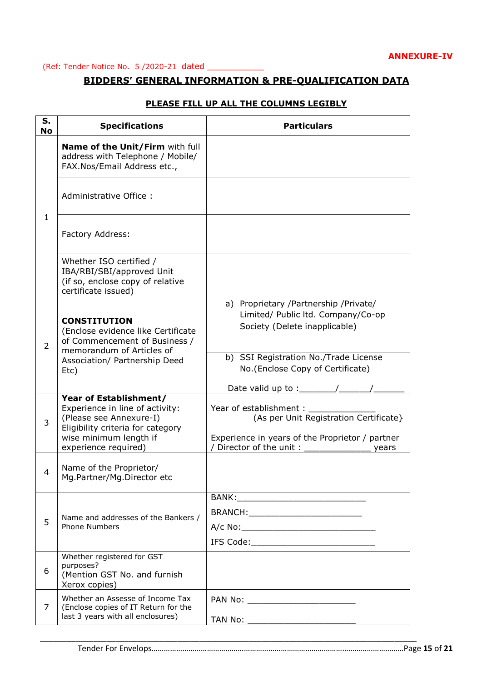#### (Ref: Tender Notice No. 5 /2020-21 dated \_\_\_\_\_\_\_\_\_\_\_

#### **BIDDERS' GENERAL INFORMATION & PRE-QUALIFICATION DATA**

| S.             | <b>Specifications</b>                                                                                                                               | <b>Particulars</b>                                                                                                  |
|----------------|-----------------------------------------------------------------------------------------------------------------------------------------------------|---------------------------------------------------------------------------------------------------------------------|
| <b>No</b>      |                                                                                                                                                     |                                                                                                                     |
| $\mathbf{1}$   | Name of the Unit/Firm with full<br>address with Telephone / Mobile/<br>FAX.Nos/Email Address etc.,                                                  |                                                                                                                     |
|                | Administrative Office:                                                                                                                              |                                                                                                                     |
|                | Factory Address:                                                                                                                                    |                                                                                                                     |
|                | Whether ISO certified /<br>IBA/RBI/SBI/approved Unit<br>(if so, enclose copy of relative<br>certificate issued)                                     |                                                                                                                     |
| $\overline{2}$ | <b>CONSTITUTION</b><br>(Enclose evidence like Certificate<br>of Commencement of Business /<br>memorandum of Articles of                             | a) Proprietary /Partnership /Private/<br>Limited/ Public ltd. Company/Co-op<br>Society (Delete inapplicable)        |
|                | Association/ Partnership Deed<br>Etc)                                                                                                               | b) SSI Registration No./Trade License<br>No. (Enclose Copy of Certificate)<br>Date valid up to $:$                  |
| 3              | Year of Establishment/<br>Experience in line of activity:<br>(Please see Annexure-I)<br>Eligibility criteria for category<br>wise minimum length if | Year of establishment:<br>(As per Unit Registration Certificate}<br>Experience in years of the Proprietor / partner |
| 4              | experience required)<br>Name of the Proprietor/<br>Mg.Partner/Mg.Director etc                                                                       | Director of the unit:<br>vears                                                                                      |
| 5              | Name and addresses of the Bankers /<br><b>Phone Numbers</b>                                                                                         | BRANCH:_____________________________                                                                                |
| 6              | Whether registered for GST<br>purposes?<br>(Mention GST No. and furnish<br>Xerox copies)                                                            |                                                                                                                     |
| 7              | Whether an Assesse of Income Tax<br>(Enclose copies of IT Return for the<br>last 3 years with all enclosures)                                       |                                                                                                                     |
|                |                                                                                                                                                     |                                                                                                                     |

\_\_\_\_\_\_\_\_\_\_\_\_\_\_\_\_\_\_\_\_\_\_\_\_\_\_\_\_\_\_\_\_\_\_\_\_\_\_\_\_\_\_\_\_\_\_\_\_\_\_\_\_\_\_\_\_\_\_\_\_\_\_\_\_\_\_\_\_\_\_\_\_\_\_\_\_\_\_\_\_\_\_\_\_\_

#### **PLEASE FILL UP ALL THE COLUMNS LEGIBLY**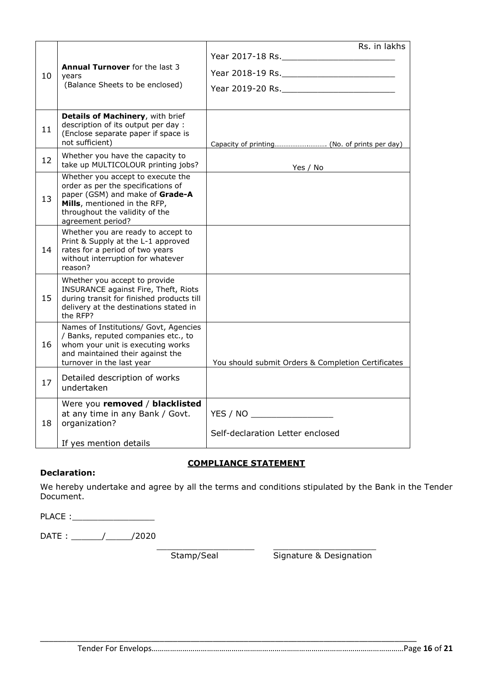|    |                                                                                                                                                                                                   | Rs. in lakhs                                                    |
|----|---------------------------------------------------------------------------------------------------------------------------------------------------------------------------------------------------|-----------------------------------------------------------------|
|    |                                                                                                                                                                                                   |                                                                 |
| 10 | <b>Annual Turnover</b> for the last 3<br>years                                                                                                                                                    |                                                                 |
|    | (Balance Sheets to be enclosed)                                                                                                                                                                   |                                                                 |
|    |                                                                                                                                                                                                   |                                                                 |
| 11 | Details of Machinery, with brief<br>description of its output per day :<br>(Enclose separate paper if space is<br>not sufficient)                                                                 |                                                                 |
| 12 | Whether you have the capacity to<br>take up MULTICOLOUR printing jobs?                                                                                                                            | Yes / No                                                        |
| 13 | Whether you accept to execute the<br>order as per the specifications of<br>paper (GSM) and make of Grade-A<br>Mills, mentioned in the RFP,<br>throughout the validity of the<br>agreement period? |                                                                 |
| 14 | Whether you are ready to accept to<br>Print & Supply at the L-1 approved<br>rates for a period of two years<br>without interruption for whatever<br>reason?                                       |                                                                 |
| 15 | Whether you accept to provide<br>INSURANCE against Fire, Theft, Riots<br>during transit for finished products till<br>delivery at the destinations stated in<br>the RFP?                          |                                                                 |
| 16 | Names of Institutions/ Govt, Agencies<br>/ Banks, reputed companies etc., to<br>whom your unit is executing works<br>and maintained their against the<br>turnover in the last year                | You should submit Orders & Completion Certificates              |
| 17 | Detailed description of works<br>undertaken                                                                                                                                                       |                                                                 |
| 18 | Were you removed / blacklisted<br>at any time in any Bank / Govt.<br>organization?<br>If yes mention details                                                                                      | YES / NO __________________<br>Self-declaration Letter enclosed |
|    |                                                                                                                                                                                                   |                                                                 |

#### **COMPLIANCE STATEMENT**

#### **Declaration:**

We hereby undertake and agree by all the terms and conditions stipulated by the Bank in the Tender Document.

PLACE :\_\_\_\_\_\_\_\_\_\_\_\_\_\_\_\_

DATE : \_\_\_\_\_\_/\_\_\_\_\_/2020

\_\_\_\_\_\_\_\_\_\_\_\_\_\_\_\_\_\_\_\_\_\_\_\_\_\_\_\_\_\_\_\_\_\_\_\_\_\_\_\_\_\_\_\_\_\_\_\_\_\_\_\_\_\_\_\_\_\_\_\_\_\_\_\_\_\_\_\_\_\_\_\_\_\_\_\_\_\_\_\_\_\_\_\_\_

\_\_\_\_\_\_\_\_\_\_\_\_\_\_\_\_\_\_\_ \_\_\_\_\_\_\_\_\_\_\_\_\_\_\_\_\_\_\_\_ Stamp/Seal Signature & Designation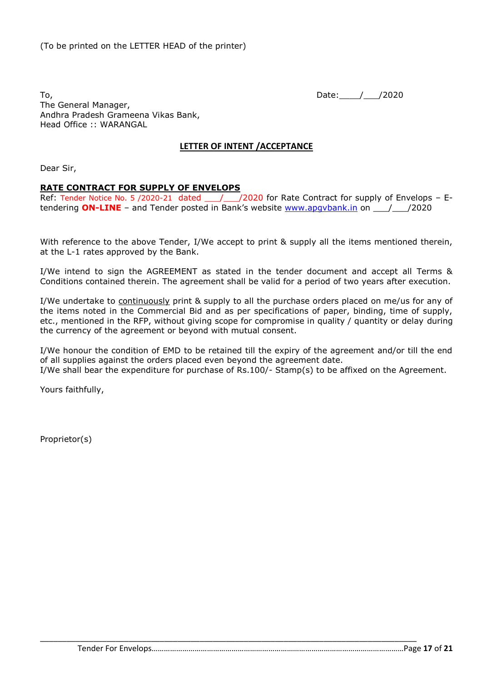To, Date: 1, 2020 The General Manager, Andhra Pradesh Grameena Vikas Bank, Head Office :: WARANGAL

#### **LETTER OF INTENT /ACCEPTANCE**

Dear Sir,

#### **RATE CONTRACT FOR SUPPLY OF ENVELOPS**

Ref: Tender Notice No. 5 /2020-21 dated \_\_\_/\_\_\_/2020 for Rate Contract for supply of Envelops - Etendering **ON-LINE** – and Tender posted in Bank's website www.apgybank.in on  $\frac{1}{2020}$ 

With reference to the above Tender, I/We accept to print & supply all the items mentioned therein, at the L-1 rates approved by the Bank.

I/We intend to sign the AGREEMENT as stated in the tender document and accept all Terms & Conditions contained therein. The agreement shall be valid for a period of two years after execution.

I/We undertake to continuously print & supply to all the purchase orders placed on me/us for any of the items noted in the Commercial Bid and as per specifications of paper, binding, time of supply, etc., mentioned in the RFP, without giving scope for compromise in quality / quantity or delay during the currency of the agreement or beyond with mutual consent.

I/We honour the condition of EMD to be retained till the expiry of the agreement and/or till the end of all supplies against the orders placed even beyond the agreement date. I/We shall bear the expenditure for purchase of Rs.100/- Stamp(s) to be affixed on the Agreement.

\_\_\_\_\_\_\_\_\_\_\_\_\_\_\_\_\_\_\_\_\_\_\_\_\_\_\_\_\_\_\_\_\_\_\_\_\_\_\_\_\_\_\_\_\_\_\_\_\_\_\_\_\_\_\_\_\_\_\_\_\_\_\_\_\_\_\_\_\_\_\_\_\_\_\_\_\_\_\_\_\_\_\_\_\_

Yours faithfully,

Proprietor(s)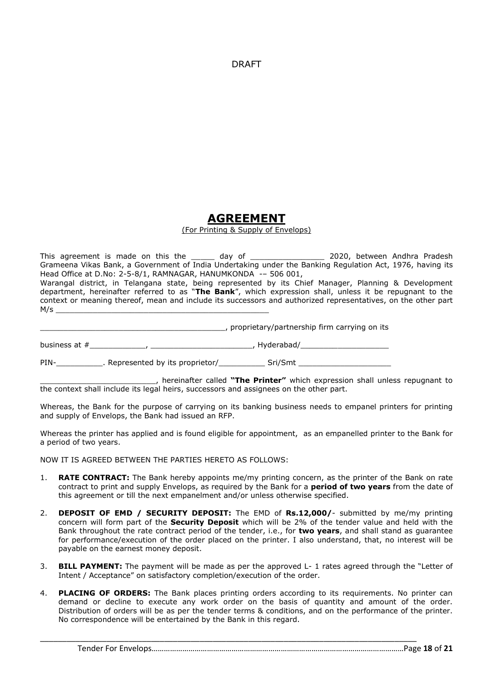DRAFT

# **AGREEMENT**

(For Printing & Supply of Envelops)

This agreement is made on this the \_\_\_\_\_ day of \_\_\_\_\_\_\_\_\_\_\_\_\_\_\_\_\_\_ 2020, between Andhra Pradesh Grameena Vikas Bank, a Government of India Undertaking under the Banking Regulation Act, 1976, having its Head Office at D.No: 2-5-8/1, RAMNAGAR, HANUMKONDA -- 506 001,

Warangal district, in Telangana state, being represented by its Chief Manager, Planning & Development department, hereinafter referred to as "**The Bank**", which expression shall, unless it be repugnant to the context or meaning thereof, mean and include its successors and authorized representatives, on the other part M/s \_\_\_\_\_\_\_\_\_\_\_\_\_\_\_\_\_\_\_\_\_\_\_\_\_\_\_\_\_\_\_\_\_\_\_\_\_\_\_\_\_\_\_\_\_\_

\_\_\_\_\_\_\_\_\_\_\_\_\_\_\_\_\_\_\_\_\_\_\_\_\_\_\_\_\_\_\_\_\_\_\_\_\_\_\_\_, proprietary/partnership firm carrying on its

business at #\_\_\_\_\_\_\_\_\_\_\_\_, \_\_\_\_\_\_\_\_\_\_\_\_\_\_\_\_\_\_\_\_\_\_, Hyderabad/\_\_\_\_\_\_\_\_\_\_\_\_\_\_\_\_\_\_\_

PIN-<br>PIN-<br>
Represented by its proprietor/
<br>
Sri/Smt

\_\_\_\_\_\_\_\_\_\_\_\_\_\_\_\_\_\_\_\_\_\_\_\_\_, hereinafter called **"The Printer"** which expression shall unless repugnant to the context shall include its legal heirs, successors and assignees on the other part.

Whereas, the Bank for the purpose of carrying on its banking business needs to empanel printers for printing and supply of Envelops, the Bank had issued an RFP.

Whereas the printer has applied and is found eligible for appointment, as an empanelled printer to the Bank for a period of two years.

NOW IT IS AGREED BETWEEN THE PARTIES HERETO AS FOLLOWS:

- 1. **RATE CONTRACT:** The Bank hereby appoints me/my printing concern, as the printer of the Bank on rate contract to print and supply Envelops, as required by the Bank for a **period of two years** from the date of this agreement or till the next empanelment and/or unless otherwise specified.
- 2. **DEPOSIT OF EMD / SECURITY DEPOSIT:** The EMD of **Rs.12,000/** submitted by me/my printing concern will form part of the **Security Deposit** which will be 2% of the tender value and held with the Bank throughout the rate contract period of the tender, i.e., for **two years**, and shall stand as guarantee for performance/execution of the order placed on the printer. I also understand, that, no interest will be payable on the earnest money deposit.
- 3. **BILL PAYMENT:** The payment will be made as per the approved L- 1 rates agreed through the "Letter of Intent / Acceptance" on satisfactory completion/execution of the order.
- 4. **PLACING OF ORDERS:** The Bank places printing orders according to its requirements. No printer can demand or decline to execute any work order on the basis of quantity and amount of the order. Distribution of orders will be as per the tender terms & conditions, and on the performance of the printer. No correspondence will be entertained by the Bank in this regard.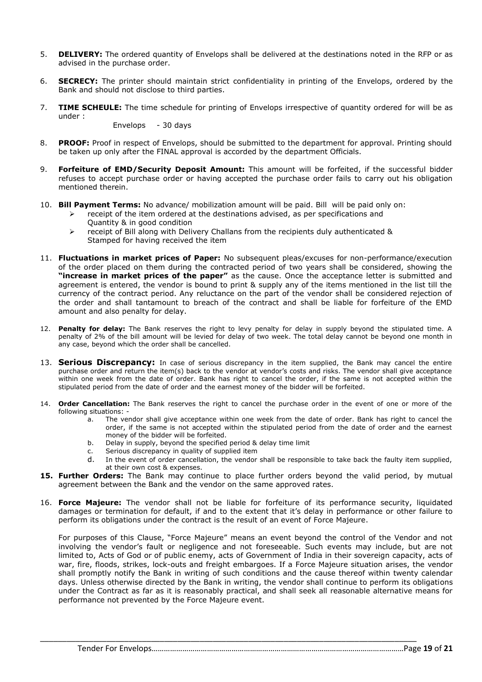- 5. **DELIVERY:** The ordered quantity of Envelops shall be delivered at the destinations noted in the RFP or as advised in the purchase order.
- 6. **SECRECY:** The printer should maintain strict confidentiality in printing of the Envelops, ordered by the Bank and should not disclose to third parties.
- 7. **TIME SCHEULE:** The time schedule for printing of Envelops irrespective of quantity ordered for will be as under :

Envelops - 30 days

- 8. **PROOF:** Proof in respect of Envelops, should be submitted to the department for approval. Printing should be taken up only after the FINAL approval is accorded by the department Officials.
- 9. **Forfeiture of EMD/Security Deposit Amount:** This amount will be forfeited, if the successful bidder refuses to accept purchase order or having accepted the purchase order fails to carry out his obligation mentioned therein.
- 10. **Bill Payment Terms:** No advance/ mobilization amount will be paid. Bill will be paid only on:
	- $\triangleright$  receipt of the item ordered at the destinations advised, as per specifications and Quantity & in good condition
	- $\triangleright$  receipt of Bill along with Delivery Challans from the recipients duly authenticated & Stamped for having received the item
- 11. **Fluctuations in market prices of Paper:** No subsequent pleas/excuses for non-performance/execution of the order placed on them during the contracted period of two years shall be considered, showing the **"increase in market prices of the paper"** as the cause. Once the acceptance letter is submitted and agreement is entered, the vendor is bound to print & supply any of the items mentioned in the list till the currency of the contract period. Any reluctance on the part of the vendor shall be considered rejection of the order and shall tantamount to breach of the contract and shall be liable for forfeiture of the EMD amount and also penalty for delay.
- 12. **Penalty for delay:** The Bank reserves the right to levy penalty for delay in supply beyond the stipulated time. A penalty of 2% of the bill amount will be levied for delay of two week. The total delay cannot be beyond one month in any case, beyond which the order shall be cancelled.
- 13. **Serious Discrepancy:** In case of serious discrepancy in the item supplied, the Bank may cancel the entire purchase order and return the item(s) back to the vendor at vendor's costs and risks. The vendor shall give acceptance within one week from the date of order. Bank has right to cancel the order, if the same is not accepted within the stipulated period from the date of order and the earnest money of the bidder will be forfeited.
- 14. **Order Cancellation:** The Bank reserves the right to cancel the purchase order in the event of one or more of the following situations:
	- a. The vendor shall give acceptance within one week from the date of order. Bank has right to cancel the order, if the same is not accepted within the stipulated period from the date of order and the earnest money of the bidder will be forfeited.
	- b. Delay in supply, beyond the specified period & delay time limit
	- c. Serious discrepancy in quality of supplied item
	- d. In the event of order cancellation, the vendor shall be responsible to take back the faulty item supplied, at their own cost & expenses.
- **15. Further Orders:** The Bank may continue to place further orders beyond the valid period, by mutual agreement between the Bank and the vendor on the same approved rates.
- 16. **Force Majeure:** The vendor shall not be liable for forfeiture of its performance security, liquidated damages or termination for default, if and to the extent that it's delay in performance or other failure to perform its obligations under the contract is the result of an event of Force Majeure.

For purposes of this Clause, "Force Majeure" means an event beyond the control of the Vendor and not involving the vendor's fault or negligence and not foreseeable. Such events may include, but are not limited to, Acts of God or of public enemy, acts of Government of India in their sovereign capacity, acts of war, fire, floods, strikes, lock-outs and freight embargoes. If a Force Majeure situation arises, the vendor shall promptly notify the Bank in writing of such conditions and the cause thereof within twenty calendar days. Unless otherwise directed by the Bank in writing, the vendor shall continue to perform its obligations under the Contract as far as it is reasonably practical, and shall seek all reasonable alternative means for performance not prevented by the Force Majeure event.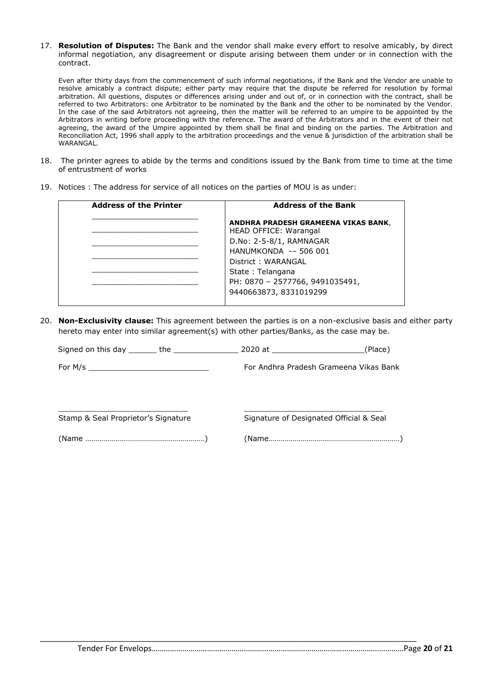17. **Resolution of Disputes:** The Bank and the vendor shall make every effort to resolve amicably, by direct informal negotiation, any disagreement or dispute arising between them under or in connection with the contract.

Even after thirty days from the commencement of such informal negotiations, if the Bank and the Vendor are unable to resolve amicably a contract dispute; either party may require that the dispute be referred for resolution by formal arbitration. All questions, disputes or differences arising under and out of, or in connection with the contract, shall be referred to two Arbitrators: one Arbitrator to be nominated by the Bank and the other to be nominated by the Vendor. In the case of the said Arbitrators not agreeing, then the matter will be referred to an umpire to be appointed by the Arbitrators in writing before proceeding with the reference. The award of the Arbitrators and in the event of their not agreeing, the award of the Umpire appointed by them shall be final and binding on the parties. The Arbitration and Reconciliation Act, 1996 shall apply to the arbitration proceedings and the venue & jurisdiction of the arbitration shall be WARANGAL.

- 18. The printer agrees to abide by the terms and conditions issued by the Bank from time to time at the time of entrustment of works
- 19. Notices : The address for service of all notices on the parties of MOU is as under:

| <b>Address of the Printer</b> | <b>Address of the Bank</b>                                   |
|-------------------------------|--------------------------------------------------------------|
|                               | ANDHRA PRADESH GRAMEENA VIKAS BANK,<br>HEAD OFFICE: Warangal |
|                               | D.No: 2-5-8/1, RAMNAGAR                                      |
|                               | HANUMKONDA -- 506 001                                        |
|                               | District: WARANGAL                                           |
|                               | State: Telangana                                             |
|                               | PH: 0870 - 2577766, 9491035491,                              |
|                               | 9440663873, 8331019299                                       |
|                               |                                                              |

20. **Non-Exclusivity clause:** This agreement between the parties is on a non-exclusive basis and either party hereto may enter into similar agreement(s) with other parties/Banks, as the case may be.

|                                     | For Andhra Pradesh Grameena Vikas Bank  |  |  |
|-------------------------------------|-----------------------------------------|--|--|
|                                     |                                         |  |  |
| Stamp & Seal Proprietor's Signature | Signature of Designated Official & Seal |  |  |